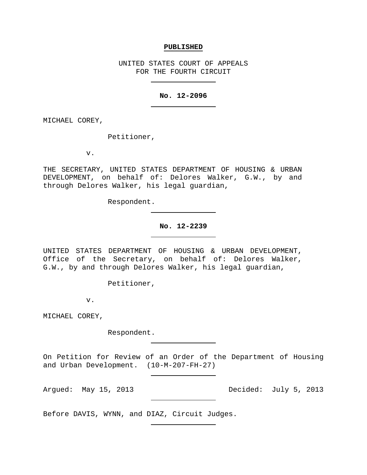#### **PUBLISHED**

UNITED STATES COURT OF APPEALS FOR THE FOURTH CIRCUIT

## **No. 12-2096**

MICHAEL COREY,

Petitioner,

v.

THE SECRETARY, UNITED STATES DEPARTMENT OF HOUSING & URBAN DEVELOPMENT, on behalf of: Delores Walker, G.W., by and through Delores Walker, his legal guardian,

Respondent.

## **No. 12-2239**

UNITED STATES DEPARTMENT OF HOUSING & URBAN DEVELOPMENT, Office of the Secretary, on behalf of: Delores Walker, G.W., by and through Delores Walker, his legal guardian,

Petitioner,

v.

MICHAEL COREY,

Respondent.

On Petition for Review of an Order of the Department of Housing and Urban Development. (10-M-207-FH-27)

Argued: May 15, 2013 Decided: July 5, 2013

Before DAVIS, WYNN, and DIAZ, Circuit Judges.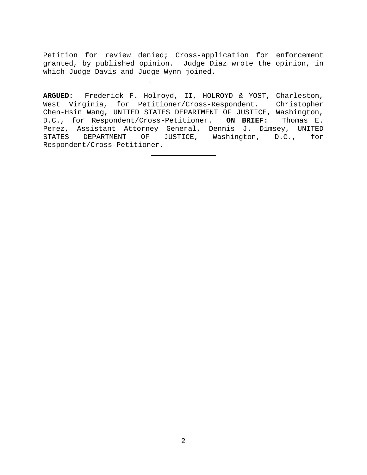Petition for review denied; Cross-application for enforcement granted, by published opinion. Judge Diaz wrote the opinion, in which Judge Davis and Judge Wynn joined.

**ARGUED:** Frederick F. Holroyd, II, HOLROYD & YOST, Charleston, West Virginia, for Petitioner/Cross-Respondent. Christopher Chen-Hsin Wang, UNITED STATES DEPARTMENT OF JUSTICE, Washington,<br>D.C., for Respondent/Cross-Petitioner. ON BRIEF: Thomas E. D.C., for Respondent/Cross-Petitioner. ON BRIEF: Perez, Assistant Attorney General, Dennis J. Dimsey, UNITED<br>STATES DEPARTMENT OF JUSTICE, Washington, D.C., for JUSTICE, Washington, D.C., for Respondent/Cross-Petitioner.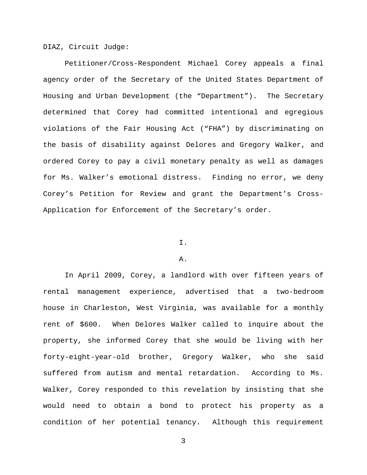DIAZ, Circuit Judge:

Petitioner/Cross-Respondent Michael Corey appeals a final agency order of the Secretary of the United States Department of Housing and Urban Development (the "Department"). The Secretary determined that Corey had committed intentional and egregious violations of the Fair Housing Act ("FHA") by discriminating on the basis of disability against Delores and Gregory Walker, and ordered Corey to pay a civil monetary penalty as well as damages for Ms. Walker's emotional distress. Finding no error, we deny Corey's Petition for Review and grant the Department's Cross-Application for Enforcement of the Secretary's order.

# I.

## A.

In April 2009, Corey, a landlord with over fifteen years of rental management experience, advertised that a two-bedroom house in Charleston, West Virginia, was available for a monthly rent of \$600. When Delores Walker called to inquire about the property, she informed Corey that she would be living with her forty-eight-year-old brother, Gregory Walker, who she said suffered from autism and mental retardation. According to Ms. Walker, Corey responded to this revelation by insisting that she would need to obtain a bond to protect his property as a condition of her potential tenancy. Although this requirement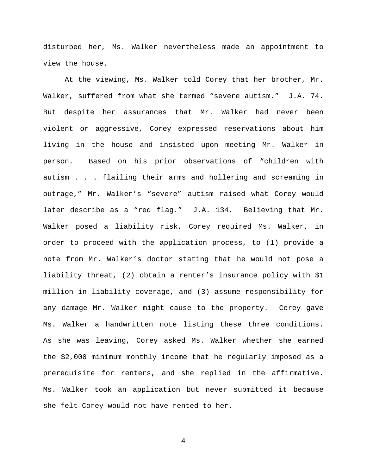disturbed her, Ms. Walker nevertheless made an appointment to view the house.

At the viewing, Ms. Walker told Corey that her brother, Mr. Walker, suffered from what she termed "severe autism." J.A. 74. But despite her assurances that Mr. Walker had never been violent or aggressive, Corey expressed reservations about him living in the house and insisted upon meeting Mr. Walker in person. Based on his prior observations of "children with autism . . . flailing their arms and hollering and screaming in outrage," Mr. Walker's "severe" autism raised what Corey would later describe as a "red flag." J.A. 134. Believing that Mr. Walker posed a liability risk, Corey required Ms. Walker, in order to proceed with the application process, to (1) provide a note from Mr. Walker's doctor stating that he would not pose a liability threat, (2) obtain a renter's insurance policy with \$1 million in liability coverage, and (3) assume responsibility for any damage Mr. Walker might cause to the property. Corey gave Ms. Walker a handwritten note listing these three conditions. As she was leaving, Corey asked Ms. Walker whether she earned the \$2,000 minimum monthly income that he regularly imposed as a prerequisite for renters, and she replied in the affirmative. Ms. Walker took an application but never submitted it because she felt Corey would not have rented to her.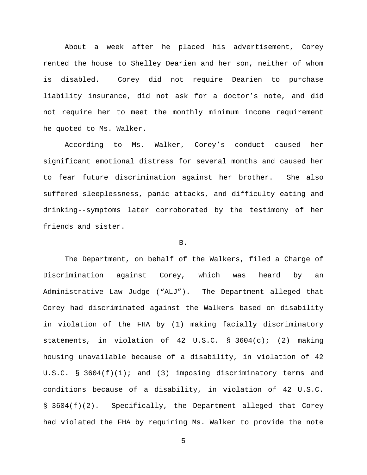About a week after he placed his advertisement, Corey rented the house to Shelley Dearien and her son, neither of whom is disabled. Corey did not require Dearien to purchase liability insurance, did not ask for a doctor's note, and did not require her to meet the monthly minimum income requirement he quoted to Ms. Walker.

According to Ms. Walker, Corey's conduct caused her significant emotional distress for several months and caused her to fear future discrimination against her brother. She also suffered sleeplessness, panic attacks, and difficulty eating and drinking--symptoms later corroborated by the testimony of her friends and sister.

## B.

The Department, on behalf of the Walkers, filed a Charge of Discrimination against Corey, which was heard by an Administrative Law Judge ("ALJ"). The Department alleged that Corey had discriminated against the Walkers based on disability in violation of the FHA by (1) making facially discriminatory statements, in violation of 42 U.S.C. § 3604(c); (2) making housing unavailable because of a disability, in violation of 42 U.S.C. § 3604(f)(1); and (3) imposing discriminatory terms and conditions because of a disability, in violation of 42 U.S.C. § 3604(f)(2). Specifically, the Department alleged that Corey had violated the FHA by requiring Ms. Walker to provide the note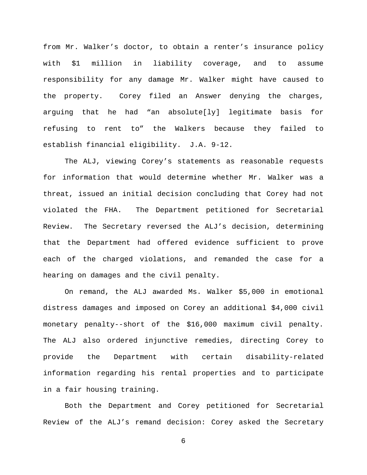from Mr. Walker's doctor, to obtain a renter's insurance policy with \$1 million in liability coverage, and to assume responsibility for any damage Mr. Walker might have caused to the property. Corey filed an Answer denying the charges, arguing that he had "an absolute[ly] legitimate basis for refusing to rent to" the Walkers because they failed to establish financial eligibility. J.A. 9-12.

The ALJ, viewing Corey's statements as reasonable requests for information that would determine whether Mr. Walker was a threat, issued an initial decision concluding that Corey had not violated the FHA. The Department petitioned for Secretarial Review. The Secretary reversed the ALJ's decision, determining that the Department had offered evidence sufficient to prove each of the charged violations, and remanded the case for a hearing on damages and the civil penalty.

On remand, the ALJ awarded Ms. Walker \$5,000 in emotional distress damages and imposed on Corey an additional \$4,000 civil monetary penalty--short of the \$16,000 maximum civil penalty. The ALJ also ordered injunctive remedies, directing Corey to provide the Department with certain disability-related information regarding his rental properties and to participate in a fair housing training.

Both the Department and Corey petitioned for Secretarial Review of the ALJ's remand decision: Corey asked the Secretary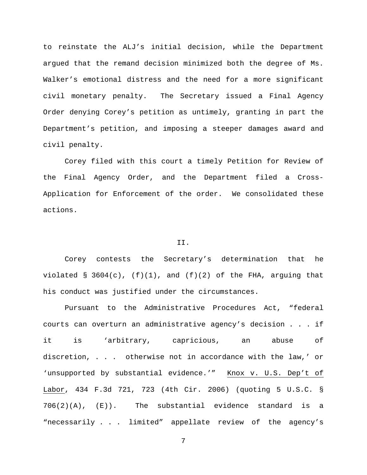to reinstate the ALJ's initial decision, while the Department argued that the remand decision minimized both the degree of Ms. Walker's emotional distress and the need for a more significant civil monetary penalty. The Secretary issued a Final Agency Order denying Corey's petition as untimely, granting in part the Department's petition, and imposing a steeper damages award and civil penalty.

Corey filed with this court a timely Petition for Review of the Final Agency Order, and the Department filed a Cross-Application for Enforcement of the order. We consolidated these actions.

## II.

Corey contests the Secretary's determination that he violated § 3604(c),  $(f)(1)$ , and  $(f)(2)$  of the FHA, arguing that his conduct was justified under the circumstances.

Pursuant to the Administrative Procedures Act, "federal courts can overturn an administrative agency's decision . . . if it is 'arbitrary, capricious, an abuse of discretion, . . . otherwise not in accordance with the law,' or 'unsupported by substantial evidence.'" Knox v. U.S. Dep't of Labor, 434 F.3d 721, 723 (4th Cir. 2006) (quoting 5 U.S.C. § 706(2)(A), (E)). The substantial evidence standard is a "necessarily . . . limited" appellate review of the agency's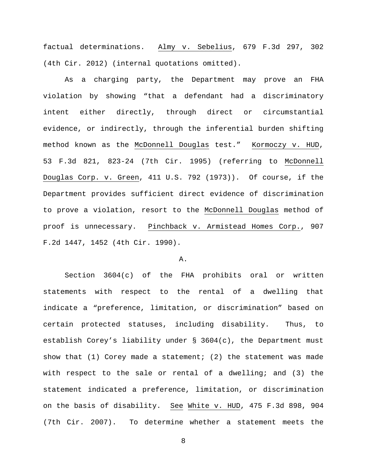factual determinations. Almy v. Sebelius, 679 F.3d 297, 302 (4th Cir. 2012) (internal quotations omitted).

As a charging party, the Department may prove an FHA violation by showing "that a defendant had a discriminatory intent either directly, through direct or circumstantial evidence, or indirectly, through the inferential burden shifting method known as the McDonnell Douglas test." Kormoczy v. HUD, 53 F.3d 821, 823-24 (7th Cir. 1995) (referring to McDonnell Douglas Corp. v. Green, 411 U.S. 792 (1973)). Of course, if the Department provides sufficient direct evidence of discrimination to prove a violation, resort to the McDonnell Douglas method of proof is unnecessary. Pinchback v. Armistead Homes Corp., 907 F.2d 1447, 1452 (4th Cir. 1990).

## A.

Section 3604(c) of the FHA prohibits oral or written statements with respect to the rental of a dwelling that indicate a "preference, limitation, or discrimination" based on certain protected statuses, including disability. Thus, to establish Corey's liability under § 3604(c), the Department must show that  $(1)$  Corey made a statement;  $(2)$  the statement was made with respect to the sale or rental of a dwelling; and (3) the statement indicated a preference, limitation, or discrimination on the basis of disability. See White v. HUD, 475 F.3d 898, 904 (7th Cir. 2007). To determine whether a statement meets the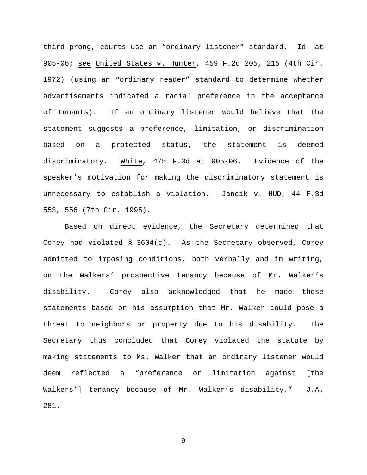third prong, courts use an "ordinary listener" standard. Id. at 905-06; see United States v. Hunter, 459 F.2d 205, 215 (4th Cir. 1972) (using an "ordinary reader" standard to determine whether advertisements indicated a racial preference in the acceptance of tenants). If an ordinary listener would believe that the statement suggests a preference, limitation, or discrimination based on a protected status, the statement is deemed discriminatory. White, 475 F.3d at 905-06. Evidence of the speaker's motivation for making the discriminatory statement is unnecessary to establish a violation. Jancik v. HUD, 44 F.3d 553, 556 (7th Cir. 1995).

Based on direct evidence, the Secretary determined that Corey had violated  $\S$  3604(c). As the Secretary observed, Corey admitted to imposing conditions, both verbally and in writing, on the Walkers' prospective tenancy because of Mr. Walker's disability. Corey also acknowledged that he made these statements based on his assumption that Mr. Walker could pose a threat to neighbors or property due to his disability. The Secretary thus concluded that Corey violated the statute by making statements to Ms. Walker that an ordinary listener would deem reflected a "preference or limitation against [the Walkers'] tenancy because of Mr. Walker's disability." J.A. 281.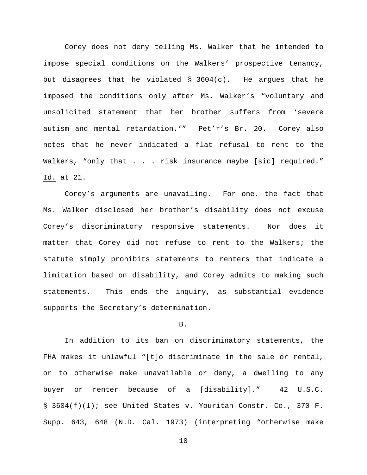Corey does not deny telling Ms. Walker that he intended to impose special conditions on the Walkers' prospective tenancy, but disagrees that he violated § 3604(c). He argues that he imposed the conditions only after Ms. Walker's "voluntary and unsolicited statement that her brother suffers from 'severe autism and mental retardation.'" Pet'r's Br. 20. Corey also notes that he never indicated a flat refusal to rent to the Walkers, "only that . . . risk insurance maybe [sic] required." Id. at 21.

Corey's arguments are unavailing. For one, the fact that Ms. Walker disclosed her brother's disability does not excuse Corey's discriminatory responsive statements. Nor does it matter that Corey did not refuse to rent to the Walkers; the statute simply prohibits statements to renters that indicate a limitation based on disability, and Corey admits to making such statements. This ends the inquiry, as substantial evidence supports the Secretary's determination.

#### B.

In addition to its ban on discriminatory statements, the FHA makes it unlawful "[t]o discriminate in the sale or rental, or to otherwise make unavailable or deny, a dwelling to any buyer or renter because of a [disability]." 42 U.S.C. § 3604(f)(1); see United States v. Youritan Constr. Co., 370 F. Supp. 643, 648 (N.D. Cal. 1973) (interpreting "otherwise make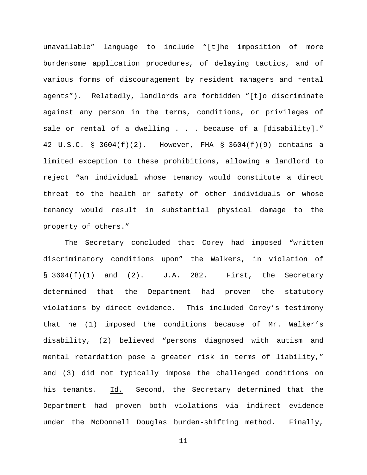unavailable" language to include "[t]he imposition of more burdensome application procedures, of delaying tactics, and of various forms of discouragement by resident managers and rental agents"). Relatedly, landlords are forbidden "[t]o discriminate against any person in the terms, conditions, or privileges of sale or rental of a dwelling . . . because of a [disability]." 42 U.S.C. § 3604(f)(2). However, FHA § 3604(f)(9) contains a limited exception to these prohibitions, allowing a landlord to reject "an individual whose tenancy would constitute a direct threat to the health or safety of other individuals or whose tenancy would result in substantial physical damage to the property of others."

The Secretary concluded that Corey had imposed "written discriminatory conditions upon" the Walkers, in violation of  $\S$  3604(f)(1) and (2). J.A. 282. First, the Secretary determined that the Department had proven the statutory violations by direct evidence. This included Corey's testimony that he (1) imposed the conditions because of Mr. Walker's disability, (2) believed "persons diagnosed with autism and mental retardation pose a greater risk in terms of liability," and (3) did not typically impose the challenged conditions on his tenants. Id. Second, the Secretary determined that the Department had proven both violations via indirect evidence under the McDonnell Douglas burden-shifting method. Finally,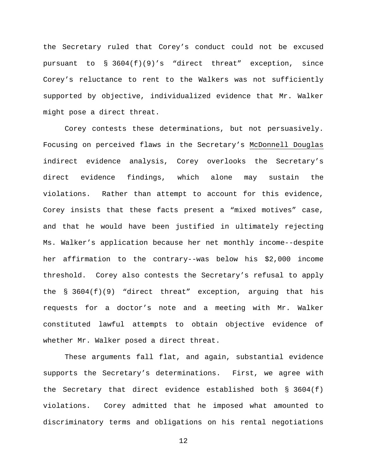the Secretary ruled that Corey's conduct could not be excused pursuant to  $\S$  3604(f)(9)'s "direct threat" exception, since Corey's reluctance to rent to the Walkers was not sufficiently supported by objective, individualized evidence that Mr. Walker might pose a direct threat.

Corey contests these determinations, but not persuasively. Focusing on perceived flaws in the Secretary's McDonnell Douglas indirect evidence analysis, Corey overlooks the Secretary's direct evidence findings, which alone may sustain the violations. Rather than attempt to account for this evidence, Corey insists that these facts present a "mixed motives" case, and that he would have been justified in ultimately rejecting Ms. Walker's application because her net monthly income--despite her affirmation to the contrary--was below his \$2,000 income threshold. Corey also contests the Secretary's refusal to apply the § 3604(f)(9) "direct threat" exception, arguing that his requests for a doctor's note and a meeting with Mr. Walker constituted lawful attempts to obtain objective evidence of whether Mr. Walker posed a direct threat.

These arguments fall flat, and again, substantial evidence supports the Secretary's determinations. First, we agree with the Secretary that direct evidence established both  $\S$  3604(f) violations. Corey admitted that he imposed what amounted to discriminatory terms and obligations on his rental negotiations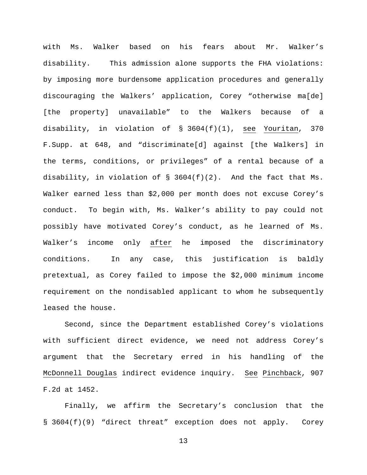with Ms. Walker based on his fears about Mr. Walker's disability. This admission alone supports the FHA violations: by imposing more burdensome application procedures and generally discouraging the Walkers' application, Corey "otherwise ma[de] [the property] unavailable" to the Walkers because of a disability, in violation of § 3604(f)(1), see Youritan, 370 F.Supp. at 648, and "discriminate[d] against [the Walkers] in the terms, conditions, or privileges" of a rental because of a disability, in violation of § 3604(f)(2). And the fact that Ms. Walker earned less than \$2,000 per month does not excuse Corey's conduct. To begin with, Ms. Walker's ability to pay could not possibly have motivated Corey's conduct, as he learned of Ms. Walker's income only after he imposed the discriminatory conditions. In any case, this justification is baldly pretextual, as Corey failed to impose the \$2,000 minimum income requirement on the nondisabled applicant to whom he subsequently leased the house.

Second, since the Department established Corey's violations with sufficient direct evidence, we need not address Corey's argument that the Secretary erred in his handling of the McDonnell Douglas indirect evidence inquiry. See Pinchback, 907 F.2d at 1452.

Finally, we affirm the Secretary's conclusion that the § 3604(f)(9) "direct threat" exception does not apply. Corey